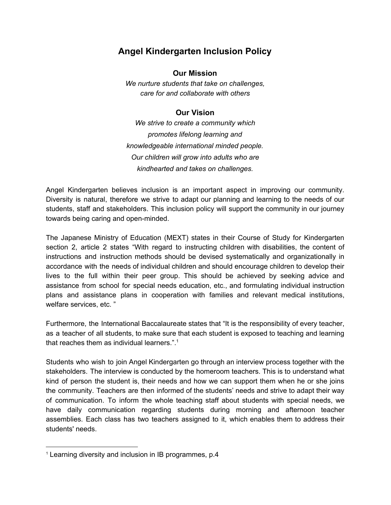## **Angel Kindergarten Inclusion Policy**

## **Our Mission**

*We nurture students that take on challenges, care for and collaborate with others*

## **Our Vision**

*We strive to create a community which promotes lifelong learning and knowledgeable international minded people. Our children will grow into adults who are kindhearted and takes on challenges.*

Angel Kindergarten believes inclusion is an important aspect in improving our community. Diversity is natural, therefore we strive to adapt our planning and learning to the needs of our students, staff and stakeholders. This inclusion policy will support the community in our journey towards being caring and open-minded.

The Japanese Ministry of Education (MEXT) states in their Course of Study for Kindergarten section 2, article 2 states "With regard to instructing children with disabilities, the content of instructions and instruction methods should be devised systematically and organizationally in accordance with the needs of individual children and should encourage children to develop their lives to the full within their peer group. This should be achieved by seeking advice and assistance from school for special needs education, etc., and formulating individual instruction plans and assistance plans in cooperation with families and relevant medical institutions, welfare services, etc. "

Furthermore, the International Baccalaureate states that "It is the responsibility of every teacher, as a teacher of all students, to make sure that each student is exposed to teaching and learning that reaches them as individual learners.". 1

Students who wish to join Angel Kindergarten go through an interview process together with the stakeholders. The interview is conducted by the homeroom teachers. This is to understand what kind of person the student is, their needs and how we can support them when he or she joins the community. Teachers are then informed of the students' needs and strive to adapt their way of communication. To inform the whole teaching staff about students with special needs, we have daily communication regarding students during morning and afternoon teacher assemblies. Each class has two teachers assigned to it, which enables them to address their students' needs.

<sup>1</sup> Learning diversity and inclusion in IB programmes, p.4